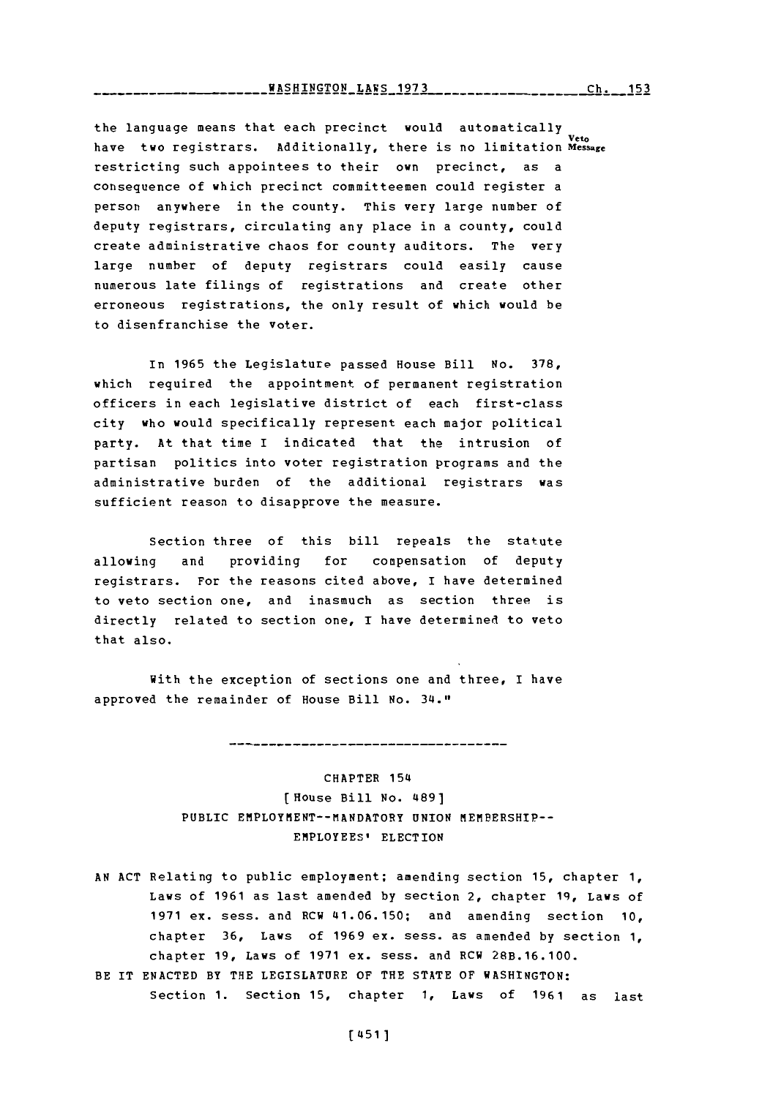\_\_\_\_\_WASHINGTON\_LAWS\_1973\_\_\_\_\_\_\_\_\_\_\_\_\_\_\_\_\_\_\_\_Ch.\_\_153

the language means that each precinct would automatically have two registrars. Additionally, there is no limitation **Message** restricting such appointees to their own precinct, as a consequence of which precinct committeemen could register a person anywhere in the county. This very large number of deputy registrars, circulating any place in a county, could create administrative chaos for county auditors. The very large number of deputy registrars could easily cause numerous late filings of registrations and create other erroneous registrations, the only result of which would be to disenfranchise the voter.

In **1965** the Legislature passed House Bill **No. 378,** which required the appointment of permanent registration officers in each legislative district of each first-class city who would specifically represent each major political party. At that time I indicated that the intrusion of partisan politics into voter registration programs and the administrative burden of the additional registrars was sufficient reason to disapprove the measure.

Section three of this bill repeals the statute allowing and providing for compensation of deputy registrars. For the reasons cited above, I have determined to veto section one, and inasmuch as section three is directly related to section one, **I** have determined to veto that also.

With the exception of sections one and three, I have approved the remainder of House Bill No. 34."

> CHAPTER 1541 [House Bill No. 4891 **PUBLIC** EMPLOYMENT--tIANDATORY **UNION** MEMBERSHIP-- EMPLOYEES' ELECTION

**AN ACT** Relating to public employment; amending section **15,** chapter **1,** Laws of **1961** as last amended **by** section 2, chapter **1q,** Laws of **1971** ex. sess. and RCW 41.06.150; and amending section **10,** chapter **36,** Laws of **1969** ex. sess. as amended **by** section **1,** chapter **19,** Laws of **1971** ex. sess. and RCW **28B.16.100.** BE IT **ENACTED** BY THE LEGISLATURE OF THE **STATE** OF **WASHINGTON:** Section **1.** Section **15,** chapter **1,** Laws of **1961** as last

**[** 451]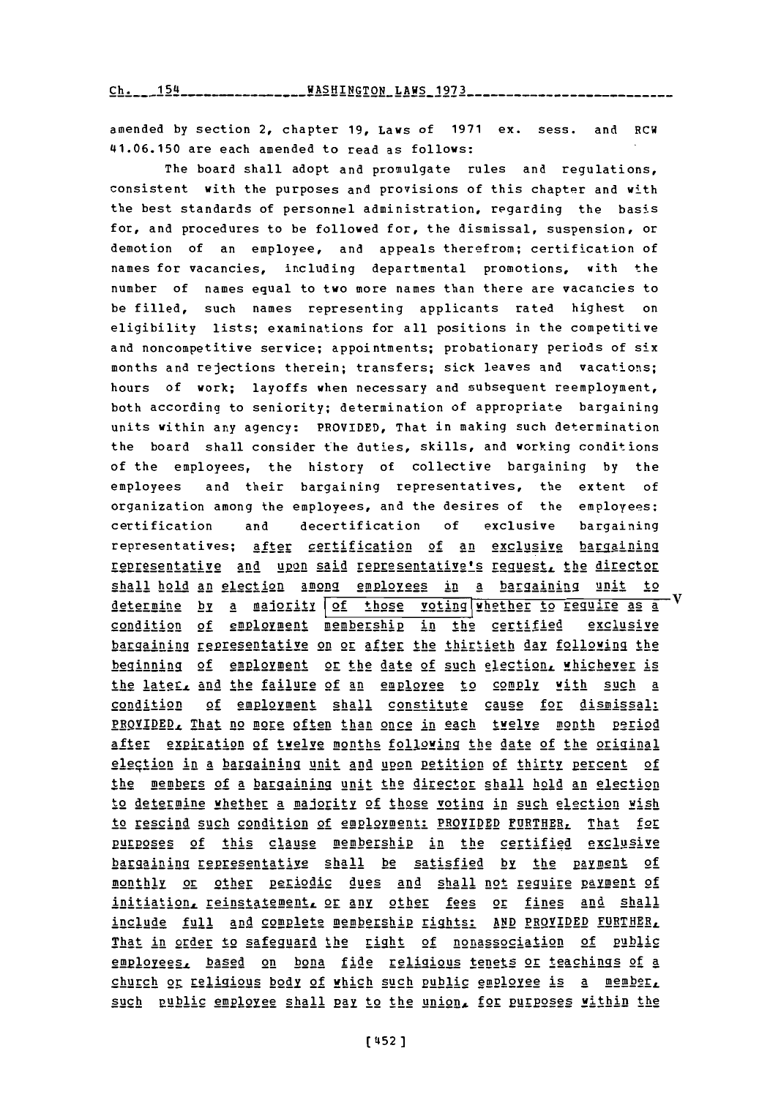amended **by** section 2, chapter **19,** Laws of **1971** ex. sess. and RCW 41.06.150 are each amended to read as follows:

The board shall adopt and promulgate rules and regulations, consistent with the purposes and provisions of this chapter and with the best standards of personnel administration, regarding the basis for, and procedures to be followed for, the dismissal, suspension, or demotion of an employee, and appeals therefrom; certification of names for vacancies, including departmental promotions, with the number of names equal to two more names than there are vacancies to be filled, such names representing applicants rated highest on eligibility lists; examinations for all positions in the competitive and noncompetitive service; appointments; probationary periods of six months and rejections therein; transfers; sick leaves and vacations; hours of work; layoffs when necessary and subsequent reemployment, both according to seniority; determination of appropriate bargaining units within any agency: PROVIDED, That in making such determination the board shall consider the duties, skills, and working conditions of the employees, the history of collective bargaining **by** the employees and their bargaining representatives, the extent **of** organization among the employees, and the desires of the employees; certification and decertification **of** exclusive bargaining representatives; after certification of an exclusive bargaining rEtpreentative and upon said representative's *reguesgt,* the director shall hold an election among employees in a bargaining unit to determine by a maiority of those voting whether to require as a condition of employment membership in the certified exclusive bargaining representative on or after the thirtieth day following the 122\_giinin **2f** SU1YEIRt or the date of such elec **tion,** whichever is the later, and the failure of an employee to comply with such a condition of employment shall constitute cause for dismissal: PROVIDED, That no more often than once in each twelve month period after expiration of twelve months following the date of the original election in a bargaining unit and upon petition of thirty percent of the members of a bargaining unit the director shall hold an election to determine whether a ma jglitY **of** those voting in such election wish to rescind such condition of employment: PROVIDED FURTHER, That for purposes of this clause membership in the certified exclusive bargaining representative shall be satisfied by the payment of monthly or other periodic dues and shall not require payment of initiation, reinstatement, or any other fees or fines and shall include full and complete membership rigihts: **AND** PROVIDED FURTHER, That in order to safeguard the right of nonassociation of public **2M22E.** based on bona fide religious tenets or: teach ings **of** <sup>a</sup> church or Uelligious **body of** which such pubtlic employee is a ebi such public employee shall pay to the union, for purposes within the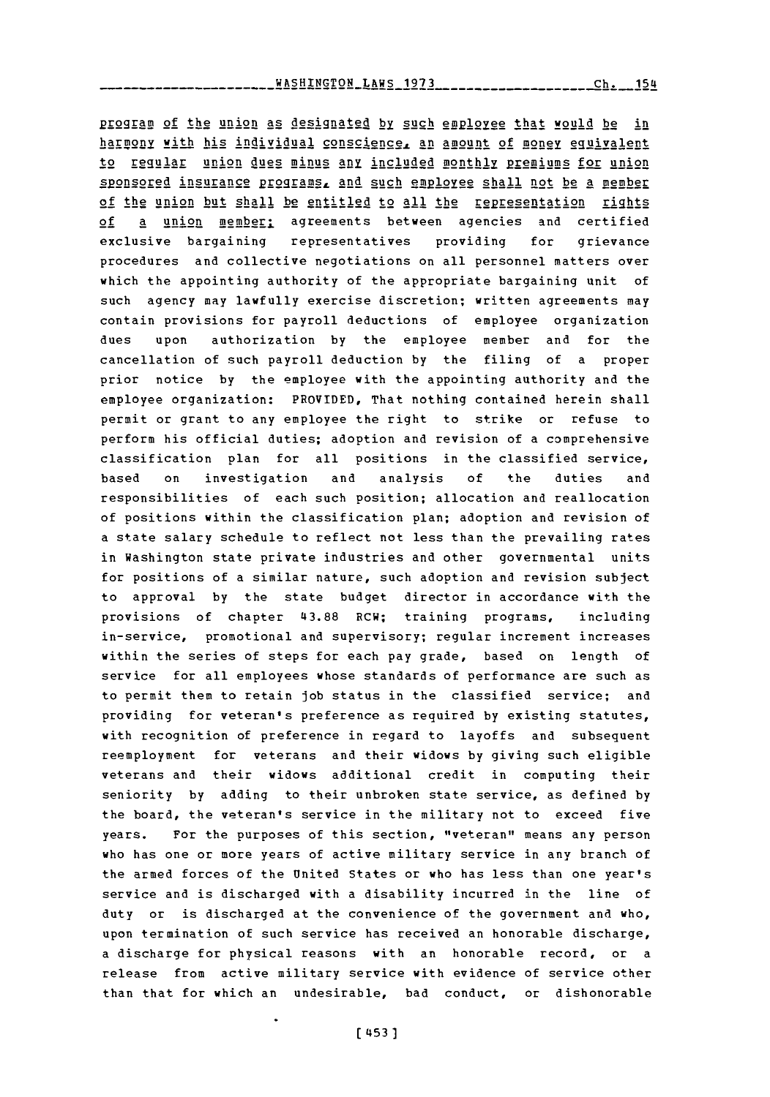\_\_\_\_WASHINGTON\_LAWS\_1973\_\_\_\_\_\_\_\_\_\_\_\_\_\_\_\_\_\_\_\_Ch. 154

P12g19M **of** the union as designated **by** such employee that would be in harmony with his individual conscience, an amount of money equivalent to regular union dues minus any included monthly premiums for union sponsored insurance programs, and such employee shall not be a member of the union but shall be entitled to all the repesentation rights **of** a union member: agreements between agencies and certified exclusive bargaining representatives providing for grievance procedures and collective negotiations on all personnel matters over which the appointing authority of the appropriate bargaining unit of such agency may lawfully exercise discretion; written agreements may contain provisions for payroll deductions of employee organization dues upon authorization **by** the employee member and for the cancellation of such payroll deduction **by** the filing of a proper prior notice **by** the employee with the appointing authority and the employee organization: PROVIDED, That nothing contained herein shall permit or grant to any employee the right to strike or refuse to perform his official duties; adoption and revision of a comprehensive classification plan for all positions in the classified service, based on investigation and analysis **of** the duties and responsibilities of each such position; allocation and reallocation of positions within the classification plan; adoption and revision of a state salary schedule to reflect not less than the prevailing rates in Washington state private industries and other governmental units for positions of a similar nature, such adoption and revision subject to approval **by** the state budget director in accordance with the provisions of chapter **43.88** RCW; training programs, including in-service, promotional and supervisory; regular increment increases within the series of steps for each pay grade, based on length of service for all employees whose standards of performance are such as to permit them to retain **job** status in the classified service; and providing for veteran's preference as required **by** existing statutes, with recognition of preference in regard to layoffs and subsequent reemployment for veterans and their widows **by** giving such eligible veterans and their widows additional credit in computing their seniority **by** adding to their unbroken state service, as defined **by** the board, the veteran's service in the military not to exceed five years. For the purposes of this section, "veteran" means any person who has one or more years of active military service in any branch of the armed forces of the United States or who has less than one year's service and is discharged with a disability incurred in the line of duty or is discharged at the convenience of the government and who, upon termination of such service has received an honorable discharge, a discharge for physical reasons with an honorable record, or a release from active military service with evidence of service other than that for which an undesirable, bad conduct, or dishonorable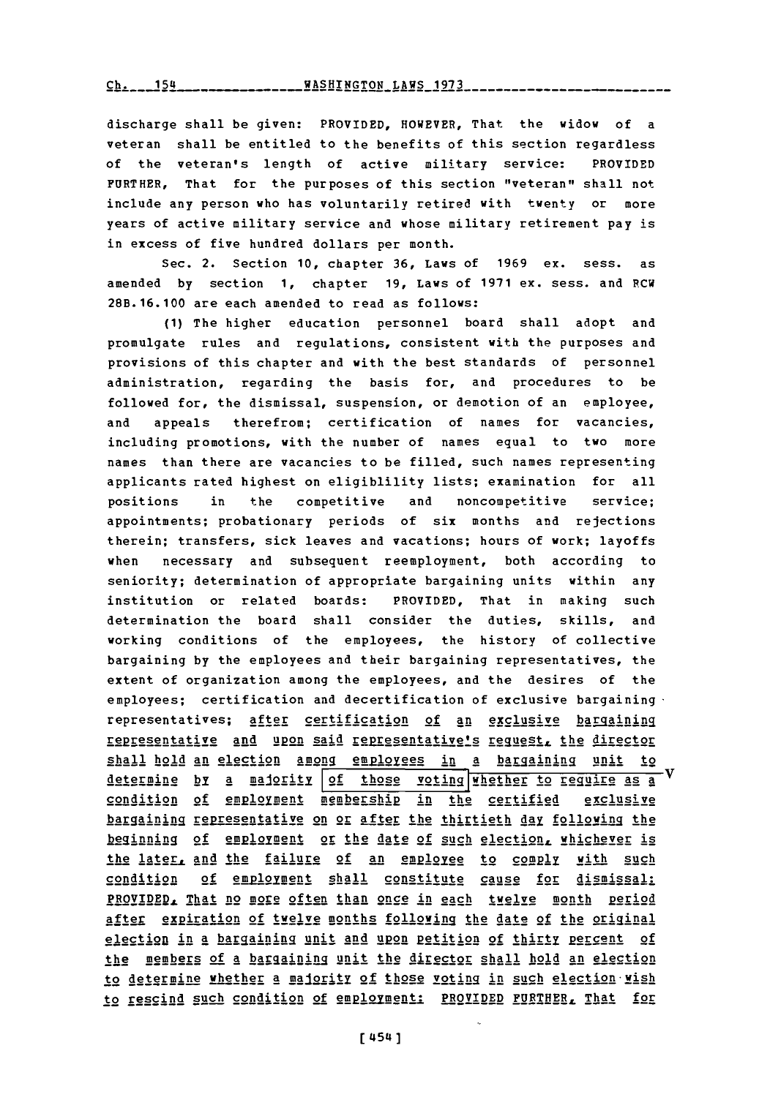**Ch. 454** - **154** - **1980** - **WASHINGTON LAWS** 1973

discharge shall be given: PROVIDED, HOWEVER, That the widow of a veteran shall be entitled to the benefits of this section regardless of the veteran's length of active military service: PROVIDED FURTHER, That for the purposes of this section "veteran" shall not include any person who has voluntarily retired with twenty or more years of active military service and whose military retirement pay is in excess of five hundred dollars per month.

Sec. 2. Section **10,** chapter **36,** Laws of **1969** ex. sess. as amended **by** section **1,** chapter **19,** Laws of **1971** ex. sess. and RCW 28B.16.100 are each amended to read as follows:

**(1)** The higher education personnel board shall adopt and promulgate rules and regulations, consistent with the purposes and provisions of this chapter and with the best standards of personnel administration, regarding the basis for, and procedures to be followed for, the dismissal, suspension, or demotion of an employee, and appeals therefrom; certification of names for vacancies, including promotions, with the number of names equal to two more names than there are vacancies to be filled, such names representing applicants rated highest on eligiblility lists; examination for all positions in the competitive and noncompetitive service; appointments; probationary periods of six months and rejections therein; transfers, sick leaves and vacations; hours of work; layoffs when necessary and subsequent reemployment, both according to seniority; determination of appropriate bargaining units within any institution or related boards: PROVIDED, That in making such determination the board shall consider the duties, skills, and working conditions of the employees, the history of collective bargaining **by** the employees and their bargaining representatives, the extent of organization among the employees, and the desires of the employees; certification and decertification of exclusive bargaining  $\cdot$ representatives; after certification of an exclusive bargaining representative and upon said representative's request, the director shall hold an election among employees in a bargaining unit to determine by a maderity of those voting whether to require as a condition of employment membership in the certified exclusive hargaining representative on or after the thirtieth day following the heginning of employment or the date of such election, whichever is the later, and the failure of an employee to comply with such condition of employment shall constitute cause for dismissal: PROVIDED, That no more often than once in each twelve month period after expiration of twelve months following the date of the original election in a bargaining unit and upon petition of thirty percent of the members of a bargaining unit the director shall hold an election to determine whether a majority of those voting in such election wish to rescind such condition of employment: PROVIDED FURTHER, That for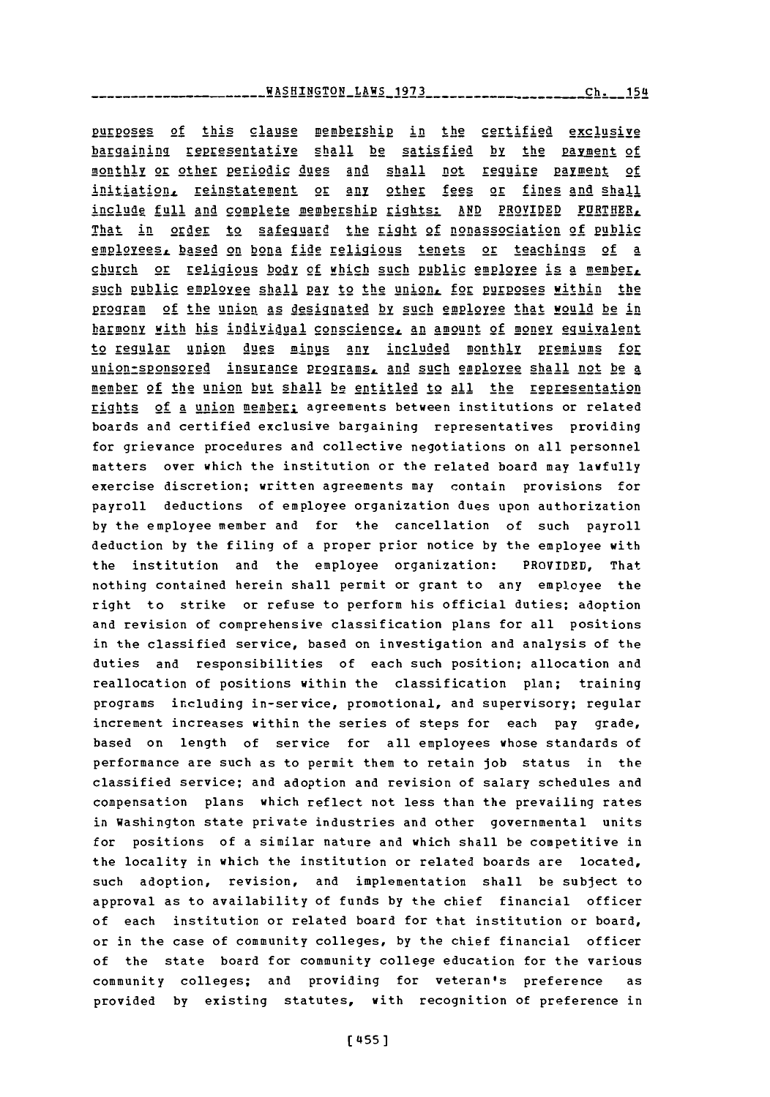---------**WASHINGTON\_LAWS\_1973\_\_\_\_\_\_\_-------------**Ch.\_\_154

purposes of this clause membership in the certified exclusive bargaining representative shall be satisfied by the payment of monthly or other periodic dues and shall not require payment of initiation. reinstatement or any other fees or fines and shall include full and complete membership rights: AND PROVIDED FURTHER, That in order to safeguard the right **of** nonassociation of pbi employees, based on bona fide religious tenets or teachings of a church or religious body of which such public employee is a member, such public employee shall pay to the union, for purposes within the program of the union as designated by such employee that would be in harmony with his individual conscience, an amount of money equivalent to regular union dues minus any included monthly premiums for union-sponsored insurance programs, and such employee shall not be a member of the union but shall be entitled to all the representation rights of a union member: agreements between institutions or related boards and certified exclusive bargaining representatives providing for grievance procedures and collective negotiations on all personnel matters over which the institution or the related board may lawfully exercise discretion; written agreements may contain provisions for payroll deductions of employee organization dues upon authorization **by** the employee member and for the cancellation of such payroll deduction **by** the filing of a proper prior notice **by** the employee with the institution and the employee organization: PROVIDED, That nothing contained herein shall permit or grant to any employee the right to strike or refuse to perform his official duties; adoption and revision of comprehensive classification plans for all positions in the classified service, based on investigation and analysis of the duties and responsibilities of each such position; allocation and reallocation of positions within the classification plan; training programs including in-service, promotional, and supervisory; regular increment increases within the series of steps for each pay grade, based on length of service for all employees whose standards of performance are such as to permit them to retain job status in the classified service; and adoption and revision of salary schedules and compensation plans which reflect not less than the prevailing rates in Washington state private industries and other governmental units for positions of a similar nature and which shall be competitive in the locality in which the institution or related boards are located, such adoption, revision, and implementation shall be subject to approval as to availability of funds **by** the chief financial officer of each institution or related board for that institution or board, or in the case of community colleges, **by** the chief financial officer of the state board for community college education for the various community colleges; and providing for veteran's preference as provided **by** existing statutes, with recognition of preference in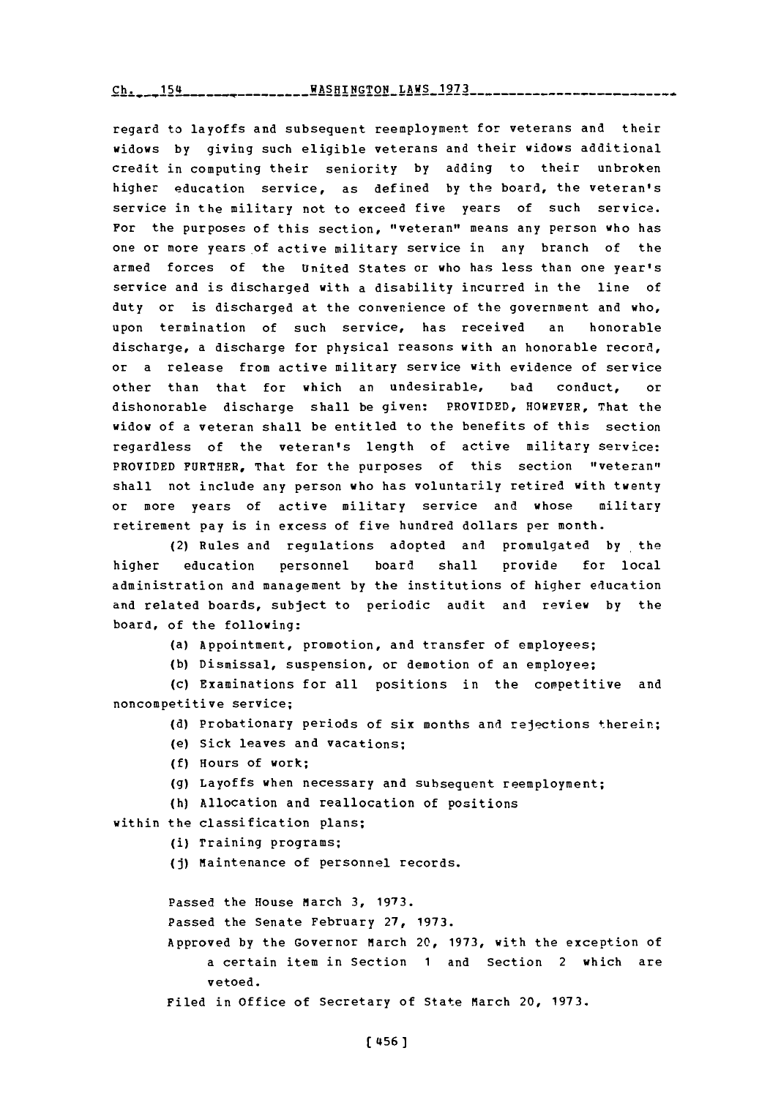Ch. **154WASHINGTON** LAWS **1973** ch. 154

regard to layoffs and subsequent reemployment for veterans and their widows **by** giving such eligible veterans and their widows additional credit in computing their seniority **by** adding to their unbroken higher education service, as defined **by** the board, the veteran's service in the military not to exceed five years of such service. For the purposes of this section, "veteran" means any person who has one or more years of active military service in any branch of the armed forces of the United states or who has less than one year's service and is discharged with a disability incurred in the line of duty or is discharged at the convenience of the government and who, upon termination of such service, has received an honorable discharge, a discharge for physical reasons with an honorable record, or a release from active military service with evidence of service other than that for which an undesirable, bad conduct, or dishonorable discharge shall be given: PROVIDED, HOWEVER, That the widow of a veteran shall be entitled to the benefits of this section regardless of the veteran's length of active military service: PROVIDED **FURTHER,** That for the purposes of this section "veteran" shall not include any person who has voluntarily retired with twenty or more years of active military service and whose military retirement pay is in excess of five hundred dollars per month.

(2) Rules and regulations adopted and promulgated **by** the higher education personnel board shall provide for local administration and management **by** the institutions of higher education and related boards, subject to periodic audit and review **by** the board, of the following:

(a) Appointment, promotion, and transfer of employees;

**(b)** Dismissal, suspension, or demotion of an employee;

(c) Examinations for all positions in the competitive and noncompetitive service;

**(d)** Probationary periods of six months and rejections therein;

- (e) Sick leaves and vacations;
- **(f)** Hours of work;
- **(g)** Layoffs when necessary and subsequent reemployment;
- (h) Allocation and reallocation of positions

within the classification plans;

(i) Training programs;

**(j)** Maintenance of personnel records.

Passed the House March **3, 1973.**

Passed the Senate February **27, 1973.**

Approved **by** the Governor March 20, **1973,** with the exception of a certain item in Section **1** and Section 2 which are vetoed.

Filed in Office of Secretary of State March 20, **1973.**